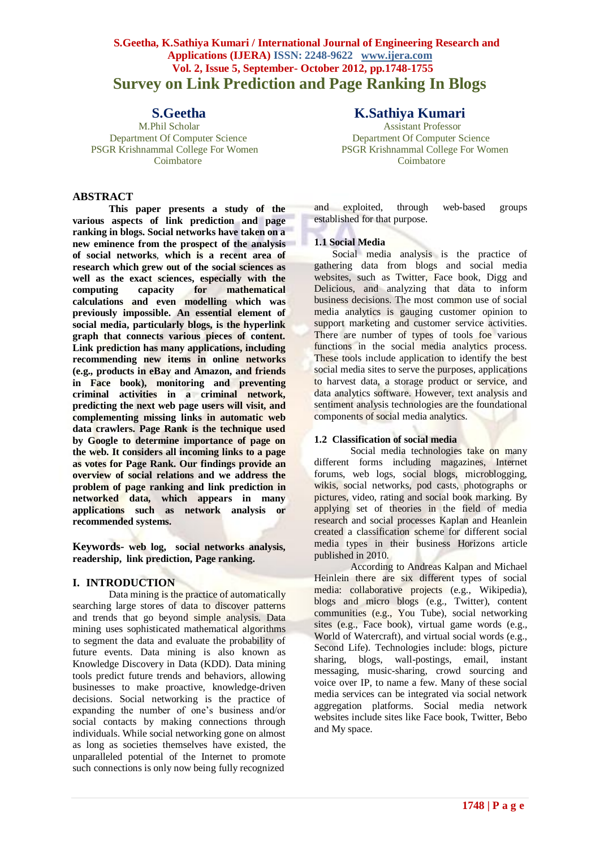# **S.Geetha, K.Sathiya Kumari / International Journal of Engineering Research and Applications (IJERA) ISSN: 2248-9622 www.ijera.com Vol. 2, Issue 5, September- October 2012, pp.1748-1755 Survey on Link Prediction and Page Ranking In Blogs**

PSGR Krishnammal College For Women

# **ABSTRACT**

**This paper presents a study of the various aspects of link prediction and page ranking in blogs. Social networks have taken on a new eminence from the prospect of the analysis of social networks**, **which is a recent area of research which grew out of the social sciences as well as the exact sciences, especially with the computing capacity for mathematical calculations and even modelling which was previously impossible. An essential element of social media, particularly blogs, is the hyperlink graph that connects various pieces of content. Link prediction has many applications, including recommending new items in online networks (e.g., products in eBay and Amazon, and friends in Face book), monitoring and preventing criminal activities in a criminal network, predicting the next web page users will visit, and complementing missing links in automatic web data crawlers. Page Rank is the technique used by Google to determine importance of page on the web. It considers all incoming links to a page as votes for Page Rank. Our findings provide an overview of social relations and we address the problem of page ranking and link prediction in networked data, which appears in many applications such as network analysis or recommended systems.**

**Keywords- web log, social networks analysis, readership, link prediction, Page ranking.**

# **I. INTRODUCTION**

Data mining is the practice of automatically searching large stores of data to discover patterns and trends that go beyond simple analysis. Data mining uses sophisticated mathematical algorithms to segment the data and evaluate the probability of future events. Data mining is also known as Knowledge Discovery in Data (KDD). Data mining tools predict future trends and behaviors, allowing businesses to make proactive, knowledge-driven decisions. Social networking is the practice of expanding the number of one's business and/or social contacts by making connections through individuals. While social networking gone on almost as long as societies themselves have existed, the unparalleled potential of the Internet to promote such connections is only now being fully recognized

# **S.Geetha K.Sathiya Kumari**

M.Phil Scholar Assistant Professor Department Of Computer Science Department Of Computer Science Coimbatore Coimbatore

> and exploited, through web-based groups established for that purpose.

## **1.1 Social Media**

Social media analysis is the practice of gathering data from blogs and social media websites, such as Twitter. Face book, Digg and Delicious, and analyzing that data to inform business decisions. The most common use of social media analytics is gauging customer opinion to support marketing and customer service activities. There are number of types of tools foe various functions in the social media analytics process. These tools include application to identify the best social media sites to serve the purposes, applications to harvest data, a storage product or service, and data analytics software. However, text analysis and sentiment analysis technologies are the foundational components of social media analytics.

#### **1.2 Classification of social media**

Social media technologies take on many different forms including magazines, Internet forums, web logs, social blogs, microblogging, wikis, social networks, pod casts, photographs or pictures, video, rating and social book marking. By applying set of theories in the field of media research and social processes Kaplan and Heanlein created a classification scheme for different social media types in their business Horizons article published in 2010.

According to Andreas Kalpan and Michael Heinlein there are six different types of social media: collaborative projects (e.g., Wikipedia), blogs and micro blogs (e.g., Twitter), content communities (e.g., You Tube), social networking sites (e.g., Face book), virtual game words (e.g., World of Watercraft), and virtual social words (e.g., Second Life). Technologies include: blogs, picture sharing, blogs, wall-postings, email, instant messaging, music-sharing, crowd sourcing and voice over IP, to name a few. Many of these social media services can be integrated via social network aggregation platforms. Social media network websites include sites like Face book, Twitter, Bebo and My space.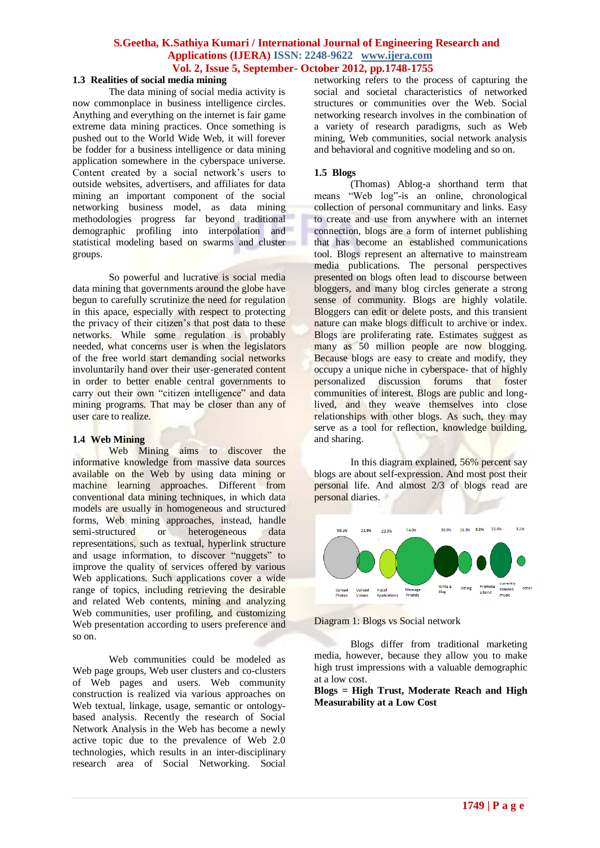# **1.3 Realities of social media mining**

The data mining of social media activity is now commonplace in business intelligence circles. Anything and everything on the internet is fair game extreme data mining practices. Once something is pushed out to the World Wide Web, it will forever be fodder for a business intelligence or data mining application somewhere in the cyberspace universe. Content created by a social network"s users to outside websites, advertisers, and affiliates for data mining an important component of the social networking business model, as data mining methodologies progress far beyond traditional demographic profiling into interpolation and statistical modeling based on swarms and cluster groups.

So powerful and lucrative is social media data mining that governments around the globe have begun to carefully scrutinize the need for regulation in this apace, especially with respect to protecting the privacy of their citizen's that post data to these networks. While some regulation is probably needed, what concerns user is when the legislators of the free world start demanding social networks involuntarily hand over their user-generated content in order to better enable central governments to carry out their own "citizen intelligence" and data mining programs. That may be closer than any of user care to realize.

#### **1.4 Web Mining**

Web Mining aims to discover the informative knowledge from massive data sources available on the Web by using data mining or machine learning approaches. Different from conventional data mining techniques, in which data models are usually in homogeneous and structured forms, Web mining approaches, instead, handle semi-structured or heterogeneous data representations, such as textual, hyperlink structure and usage information, to discover "nuggets" to improve the quality of services offered by various Web applications. Such applications cover a wide range of topics, including retrieving the desirable and related Web contents, mining and analyzing Web communities, user profiling, and customizing Web presentation according to users preference and so on.

Web communities could be modeled as Web page groups, Web user clusters and co-clusters of Web pages and users. Web community construction is realized via various approaches on Web textual, linkage, usage, semantic or ontologybased analysis. Recently the research of Social Network Analysis in the Web has become a newly active topic due to the prevalence of Web 2.0 technologies, which results in an inter-disciplinary research area of Social Networking. Social

networking refers to the process of capturing the social and societal characteristics of networked structures or communities over the Web. Social networking research involves in the combination of a variety of research paradigms, such as Web mining, Web communities, social network analysis and behavioral and cognitive modeling and so on.

#### **1.5 Blogs**

(Thomas) Ablog-a shorthand term that means "Web log"-is an online, chronological collection of personal communitary and links. Easy to create and use from anywhere with an internet connection, blogs are a form of internet publishing that has become an established communications tool. Blogs represent an alternative to mainstream media publications. The personal perspectives presented on blogs often lead to discourse between bloggers, and many blog circles generate a strong sense of community. Blogs are highly volatile. Bloggers can edit or delete posts, and this transient nature can make blogs difficult to archive or index. Blogs are proliferating rate. Estimates suggest as many as 50 million people are now blogging. Because blogs are easy to create and modify, they occupy a unique niche in cyberspace- that of highly personalized discussion forums that foster communities of interest. Blogs are public and longlived, and they weave themselves into close relationships with other blogs. As such, they may serve as a tool for reflection, knowledge building, and sharing.

In this diagram explained, 56% percent say blogs are about self-expression. And most post their personal life. And almost 2/3 of blogs read are personal diaries.



Diagram 1: Blogs vs Social network

Blogs differ from traditional marketing media, however, because they allow you to make high trust impressions with a valuable demographic at a low cost.

**Blogs = High Trust, Moderate Reach and High Measurability at a Low Cost**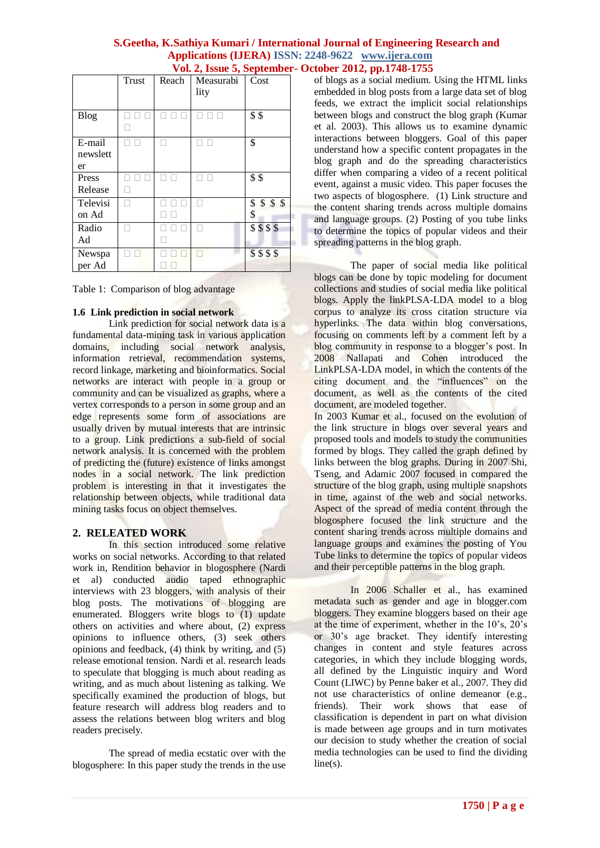|             | <b>Trust</b> | Reach | Measurabi | Cost       |
|-------------|--------------|-------|-----------|------------|
|             |              |       | lity      |            |
| <b>Blog</b> |              |       |           | \$\$       |
|             |              |       |           |            |
| E-mail      |              |       |           | \$         |
| newslett    |              |       |           |            |
| er          |              |       |           |            |
| Press       |              |       |           | \$\$       |
| Release     |              |       |           |            |
| Televisi    |              |       |           | \$55<br>\$ |
| on Ad       |              |       |           | \$         |
| Radio       |              |       |           | \$555      |
| Ad          |              |       |           |            |
| Newspa      |              |       |           | \$\$\$\$   |
| per Ad      |              |       |           |            |

Table 1: Comparison of blog advantage

#### **1.6 Link prediction in social network**

Link prediction for social network data is a fundamental data-mining task in various application domains, including social network analysis, information retrieval, recommendation systems, record linkage, marketing and bioinformatics. Social networks are interact with people in a group or community and can be visualized as graphs, where a vertex corresponds to a person in some group and an edge represents some form of associations are usually driven by mutual interests that are intrinsic to a group. Link predictions a sub-field of social network analysis. It is concerned with the problem of predicting the (future) existence of links amongst nodes in a social network. The link prediction problem is interesting in that it investigates the relationship between objects, while traditional data mining tasks focus on object themselves.

# **2. RELEATED WORK**

In this section introduced some relative works on social networks. According to that related work in, Rendition behavior in blogosphere (Nardi et al) conducted audio taped ethnographic interviews with 23 bloggers, with analysis of their blog posts. The motivations of blogging are enumerated. Bloggers write blogs to (1) update others on activities and where about, (2) express opinions to influence others, (3) seek others opinions and feedback, (4) think by writing, and (5) release emotional tension. Nardi et al. research leads to speculate that blogging is much about reading as writing, and as much about listening as talking. We specifically examined the production of blogs, but feature research will address blog readers and to assess the relations between blog writers and blog readers precisely.

The spread of media ecstatic over with the blogosphere: In this paper study the trends in the use of blogs as a social medium. Using the HTML links embedded in blog posts from a large data set of blog feeds, we extract the implicit social relationships between blogs and construct the blog graph (Kumar et al. 2003). This allows us to examine dynamic interactions between bloggers. Goal of this paper understand how a specific content propagates in the blog graph and do the spreading characteristics differ when comparing a video of a recent political event, against a music video. This paper focuses the two aspects of blogosphere. (1) Link structure and the content sharing trends across multiple domains and language groups. (2) Posting of you tube links to determine the topics of popular videos and their spreading patterns in the blog graph.

The paper of social media like political blogs can be done by topic modeling for document collections and studies of social media like political blogs. Apply the linkPLSA-LDA model to a blog corpus to analyze its cross citation structure via hyperlinks. The data within blog conversations, focusing on comments left by a comment left by a blog community in response to a blogger's post. In 2008 Nallapati and Cohen introduced the LinkPLSA-LDA model, in which the contents of the citing document and the "influences" on the document, as well as the contents of the cited document, are modeled together.

In 2003 Kumar et al., focused on the evolution of the link structure in blogs over several years and proposed tools and models to study the communities formed by blogs. They called the graph defined by links between the blog graphs. During in 2007 Shi, Tseng, and Adamic 2007 focused in compared the structure of the blog graph, using multiple snapshots in time, against of the web and social networks. Aspect of the spread of media content through the blogosphere focused the link structure and the content sharing trends across multiple domains and language groups and examines the posting of You Tube links to determine the topics of popular videos and their perceptible patterns in the blog graph.

In 2006 Schaller et al., has examined metadata such as gender and age in blogger.com bloggers. They examine bloggers based on their age at the time of experiment, whether in the 10"s, 20"s or 30"s age bracket. They identify interesting changes in content and style features across categories, in which they include blogging words, all defined by the Linguistic inquiry and Word Count (LIWC) by Penne baker et al., 2007. They did not use characteristics of online demeanor (e.g., friends). Their work shows that ease of classification is dependent in part on what division is made between age groups and in turn motivates our decision to study whether the creation of social media technologies can be used to find the dividing line(s).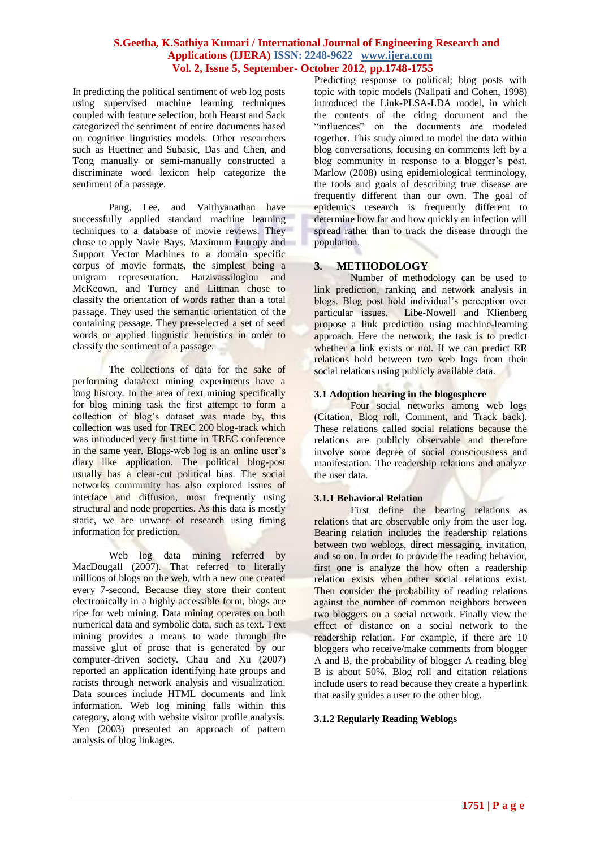In predicting the political sentiment of web log posts using supervised machine learning techniques coupled with feature selection, both Hearst and Sack categorized the sentiment of entire documents based on cognitive linguistics models. Other researchers such as Huettner and Subasic, Das and Chen, and Tong manually or semi-manually constructed a discriminate word lexicon help categorize the sentiment of a passage.

Pang, Lee, and Vaithyanathan have successfully applied standard machine learning techniques to a database of movie reviews. They chose to apply Navie Bays, Maximum Entropy and Support Vector Machines to a domain specific corpus of movie formats, the simplest being a unigram representation. Hatzivassiloglou and McKeown, and Turney and Littman chose to classify the orientation of words rather than a total passage. They used the semantic orientation of the containing passage. They pre-selected a set of seed words or applied linguistic heuristics in order to classify the sentiment of a passage.

The collections of data for the sake of performing data/text mining experiments have a long history. In the area of text mining specifically for blog mining task the first attempt to form a collection of blog"s dataset was made by, this collection was used for TREC 200 blog-track which was introduced very first time in TREC conference in the same year. Blogs-web log is an online user's diary like application. The political blog-post usually has a clear-cut political bias. The social networks community has also explored issues of interface and diffusion, most frequently using structural and node properties. As this data is mostly static, we are unware of research using timing information for prediction.

Web log data mining referred by MacDougall (2007). That referred to literally millions of blogs on the web, with a new one created every 7-second. Because they store their content electronically in a highly accessible form, blogs are ripe for web mining. Data mining operates on both numerical data and symbolic data, such as text. Text mining provides a means to wade through the massive glut of prose that is generated by our computer-driven society. Chau and Xu (2007) reported an application identifying hate groups and racists through network analysis and visualization. Data sources include HTML documents and link information. Web log mining falls within this category, along with website visitor profile analysis. Yen (2003) presented an approach of pattern analysis of blog linkages.

Predicting response to political; blog posts with topic with topic models (Nallpati and Cohen, 1998) introduced the Link-PLSA-LDA model, in which the contents of the citing document and the "influences" on the documents are modeled together. This study aimed to model the data within blog conversations, focusing on comments left by a blog community in response to a blogger's post. Marlow (2008) using epidemiological terminology, the tools and goals of describing true disease are frequently different than our own. The goal of epidemics research is frequently different to determine how far and how quickly an infection will spread rather than to track the disease through the population.

# **3. METHODOLOGY**

Number of methodology can be used to link prediction, ranking and network analysis in blogs. Blog post hold individual's perception over particular issues. Libe-Nowell and Klienberg propose a link prediction using machine-learning approach. Here the network, the task is to predict whether a link exists or not. If we can predict RR relations hold between two web logs from their social relations using publicly available data.

## **3.1 Adoption bearing in the blogosphere**

Four social networks among web logs (Citation, Blog roll, Comment, and Track back). These relations called social relations because the relations are publicly observable and therefore involve some degree of social consciousness and manifestation. The readership relations and analyze the user data.

# **3.1.1 Behavioral Relation**

First define the bearing relations as relations that are observable only from the user log. Bearing relation includes the readership relations between two weblogs, direct messaging, invitation, and so on. In order to provide the reading behavior, first one is analyze the how often a readership relation exists when other social relations exist. Then consider the probability of reading relations against the number of common neighbors between two bloggers on a social network. Finally view the effect of distance on a social network to the readership relation. For example, if there are 10 bloggers who receive/make comments from blogger A and B, the probability of blogger A reading blog B is about 50%. Blog roll and citation relations include users to read because they create a hyperlink that easily guides a user to the other blog.

#### **3.1.2 Regularly Reading Weblogs**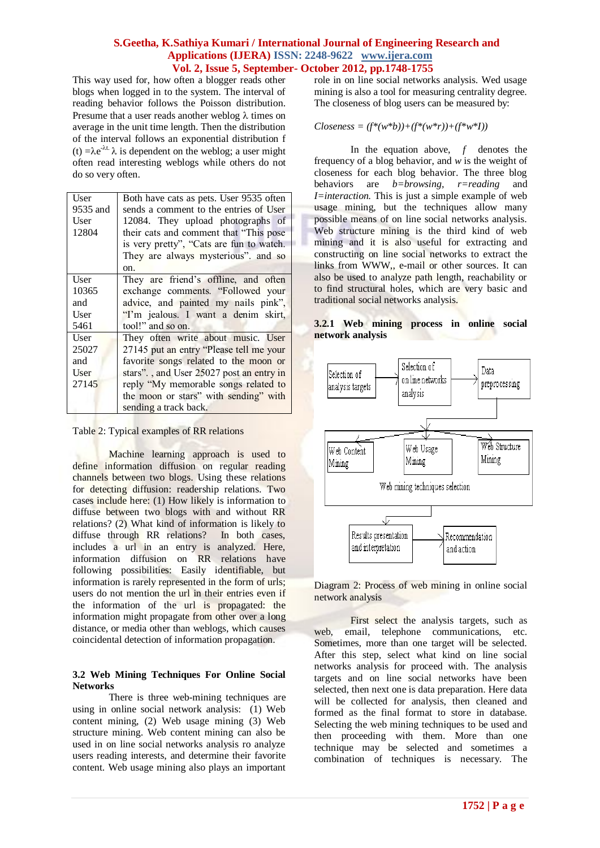This way used for, how often a blogger reads other blogs when logged in to the system. The interval of reading behavior follows the Poisson distribution. Presume that a user reads another weblog  $\lambda$  times on average in the unit time length. Then the distribution of the interval follows an exponential distribution f (t)  $=\lambda e^{-\lambda t}$ .  $\lambda$  is dependent on the weblog; a user might often read interesting weblogs while others do not do so very often.

| User     | Both have cats as pets. User 9535 often  |  |  |
|----------|------------------------------------------|--|--|
| 9535 and | sends a comment to the entries of User   |  |  |
| User     | 12084. They upload photographs of        |  |  |
| 12804    | their cats and comment that "This pose   |  |  |
|          | is very pretty", "Cats are fun to watch. |  |  |
|          | They are always mysterious", and so      |  |  |
|          | on.                                      |  |  |
| User     | They are friend's offline, and often     |  |  |
| 10365    | exchange comments. "Followed your        |  |  |
| and      | advice, and painted my nails pink",      |  |  |
| User     | "I'm jealous. I want a denim skirt,      |  |  |
| 5461     | tool!" and so on.                        |  |  |
| User     | They often write about music. User       |  |  |
| 25027    | 27145 put an entry "Please tell me your  |  |  |
| and      | favorite songs related to the moon or    |  |  |
| User     | stars"., and User 25027 post an entry in |  |  |
| 27145    | reply "My memorable songs related to     |  |  |
|          | the moon or stars" with sending" with    |  |  |
|          | sending a track back.                    |  |  |

Table 2: Typical examples of RR relations

Machine learning approach is used to define information diffusion on regular reading channels between two blogs. Using these relations for detecting diffusion: readership relations. Two cases include here: (1) How likely is information to diffuse between two blogs with and without RR relations? (2) What kind of information is likely to diffuse through RR relations? In both cases, includes a url in an entry is analyzed. Here, information diffusion on RR relations have following possibilities: Easily identifiable, but information is rarely represented in the form of urls; users do not mention the url in their entries even if the information of the url is propagated: the information might propagate from other over a long distance, or media other than weblogs, which causes coincidental detection of information propagation.

#### **3.2 Web Mining Techniques For Online Social Networks**

There is three web-mining techniques are using in online social network analysis: (1) Web content mining, (2) Web usage mining (3) Web structure mining. Web content mining can also be used in on line social networks analysis ro analyze users reading interests, and determine their favorite content. Web usage mining also plays an important

role in on line social networks analysis. Wed usage mining is also a tool for measuring centrality degree. The closeness of blog users can be measured by:

$$
Closeness = (f^*(w^*b)) + (f^*(w^*r)) + (f^*w^*I))
$$

In the equation above, *f* denotes the frequency of a blog behavior, and *w* is the weight of closeness for each blog behavior. The three blog behaviors are *b=browsing, r=reading* and *I=interaction.* This is just a simple example of web usage mining, but the techniques allow many possible means of on line social networks analysis. Web structure mining is the third kind of web mining and it is also useful for extracting and constructing on line social networks to extract the links from WWW,, e-mail or other sources. It can also be used to analyze path length, reachability or to find structural holes, which are very basic and traditional social networks analysis.

### **3.2.1 Web mining process in online social network analysis**



Diagram 2: Process of web mining in online social network analysis

First select the analysis targets, such as web, email, telephone communications, etc. Sometimes, more than one target will be selected. After this step, select what kind on line social networks analysis for proceed with. The analysis targets and on line social networks have been selected, then next one is data preparation. Here data will be collected for analysis, then cleaned and formed as the final format to store in database. Selecting the web mining techniques to be used and then proceeding with them. More than one technique may be selected and sometimes a combination of techniques is necessary. The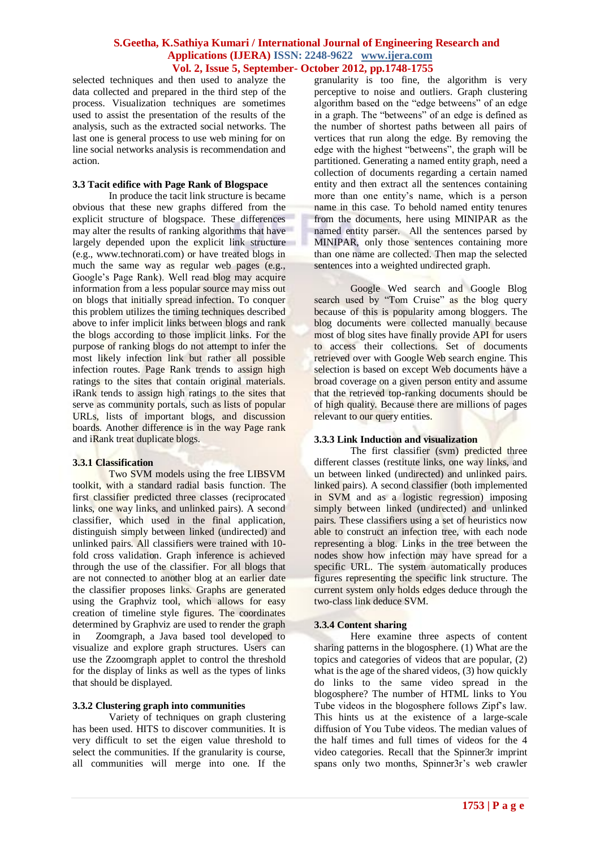selected techniques and then used to analyze the data collected and prepared in the third step of the process. Visualization techniques are sometimes used to assist the presentation of the results of the analysis, such as the extracted social networks. The last one is general process to use web mining for on line social networks analysis is recommendation and action.

# **3.3 Tacit edifice with Page Rank of Blogspace**

In produce the tacit link structure is became obvious that these new graphs differed from the explicit structure of blogspace. These differences may alter the results of ranking algorithms that have largely depended upon the explicit link structure (e.g., www.technorati.com) or have treated blogs in much the same way as regular web pages (e.g., Google"s Page Rank). Well read blog may acquire information from a less popular source may miss out on blogs that initially spread infection. To conquer this problem utilizes the timing techniques described above to infer implicit links between blogs and rank the blogs according to those implicit links. For the purpose of ranking blogs do not attempt to infer the most likely infection link but rather all possible infection routes. Page Rank trends to assign high ratings to the sites that contain original materials. iRank tends to assign high ratings to the sites that serve as community portals, such as lists of popular URLs, lists of important blogs, and discussion boards. Another difference is in the way Page rank and iRank treat duplicate blogs.

# **3.3.1 Classification**

Two SVM models using the free LIBSVM toolkit, with a standard radial basis function. The first classifier predicted three classes (reciprocated links, one way links, and unlinked pairs). A second classifier, which used in the final application, distinguish simply between linked (undirected) and unlinked pairs. All classifiers were trained with 10 fold cross validation. Graph inference is achieved through the use of the classifier. For all blogs that are not connected to another blog at an earlier date the classifier proposes links. Graphs are generated using the Graphviz tool, which allows for easy creation of timeline style figures. The coordinates determined by Graphviz are used to render the graph in Zoomgraph, a Java based tool developed to visualize and explore graph structures. Users can use the Zzoomgraph applet to control the threshold for the display of links as well as the types of links that should be displayed.

#### **3.3.2 Clustering graph into communities**

Variety of techniques on graph clustering has been used. HITS to discover communities. It is very difficult to set the eigen value threshold to select the communities. If the granularity is course, all communities will merge into one. If the granularity is too fine, the algorithm is very perceptive to noise and outliers. Graph clustering algorithm based on the "edge betweens" of an edge in a graph. The "betweens" of an edge is defined as the number of shortest paths between all pairs of vertices that run along the edge. By removing the edge with the highest "betweens", the graph will be partitioned. Generating a named entity graph, need a collection of documents regarding a certain named entity and then extract all the sentences containing more than one entity"s name, which is a person name in this case. To behold named entity tenures from the documents, here using MINIPAR as the named entity parser. All the sentences parsed by MINIPAR, only those sentences containing more than one name are collected. Then map the selected sentences into a weighted undirected graph.

Google Wed search and Google Blog search used by "Tom Cruise" as the blog query because of this is popularity among bloggers. The blog documents were collected manually because most of blog sites have finally provide API for users to access their collections. Set of documents retrieved over with Google Web search engine. This selection is based on except Web documents have a broad coverage on a given person entity and assume that the retrieved top-ranking documents should be of high quality. Because there are millions of pages relevant to our query entities.

# **3.3.3 Link Induction and visualization**

The first classifier (svm) predicted three different classes (restitute links, one way links, and un between linked (undirected) and unlinked pairs. linked pairs). A second classifier (both implemented in SVM and as a logistic regression) imposing simply between linked (undirected) and unlinked pairs. These classifiers using a set of heuristics now able to construct an infection tree, with each node representing a blog. Links in the tree between the nodes show how infection may have spread for a specific URL. The system automatically produces figures representing the specific link structure. The current system only holds edges deduce through the two-class link deduce SVM.

#### **3.3.4 Content sharing**

Here examine three aspects of content sharing patterns in the blogosphere. (1) What are the topics and categories of videos that are popular, (2) what is the age of the shared videos, (3) how quickly do links to the same video spread in the blogosphere? The number of HTML links to You Tube videos in the blogosphere follows Zipf"s law. This hints us at the existence of a large-scale diffusion of You Tube videos. The median values of the half times and full times of videos for the 4 video categories. Recall that the Spinner3r imprint spans only two months, Spinner3r's web crawler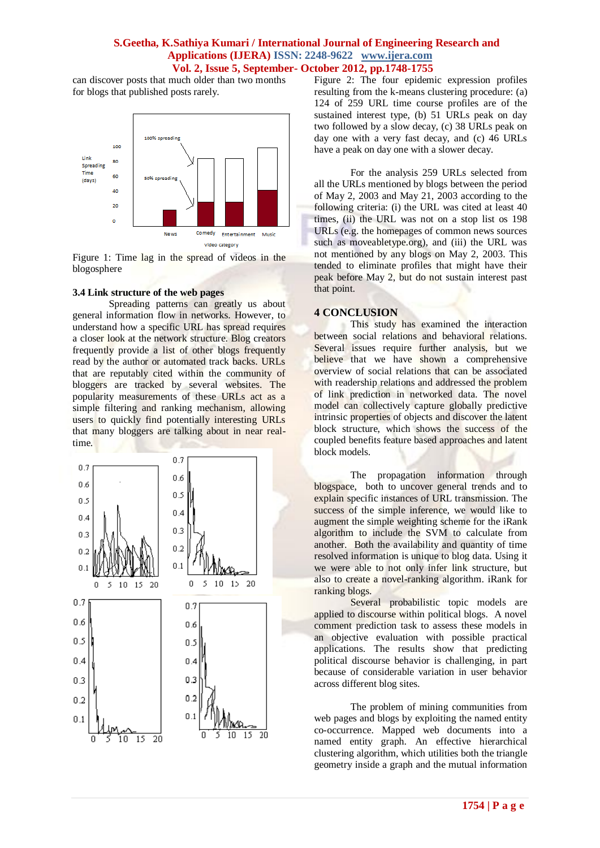can discover posts that much older than two months for blogs that published posts rarely.



Figure 1: Time lag in the spread of videos in the blogosphere

### **3.4 Link structure of the web pages**

Spreading patterns can greatly us about general information flow in networks. However, to understand how a specific URL has spread requires a closer look at the network structure. Blog creators frequently provide a list of other blogs frequently read by the author or automated track backs. URLs that are reputably cited within the community of bloggers are tracked by several websites. The popularity measurements of these URLs act as a simple filtering and ranking mechanism, allowing users to quickly find potentially interesting URLs that many bloggers are talking about in near realtime.



Figure 2: The four epidemic expression profiles resulting from the k-means clustering procedure: (a) 124 of 259 URL time course profiles are of the sustained interest type, (b) 51 URLs peak on day two followed by a slow decay, (c) 38 URLs peak on day one with a very fast decay, and (c) 46 URLs have a peak on day one with a slower decay.

For the analysis 259 URLs selected from all the URLs mentioned by blogs between the period of May 2, 2003 and May 21, 2003 according to the following criteria: (i) the URL was cited at least 40 times, (ii) the URL was not on a stop list os 198 URLs (e.g. the homepages of common news sources such as moveabletype.org), and (iii) the URL was not mentioned by any blogs on May 2, 2003. This tended to eliminate profiles that might have their peak before May 2, but do not sustain interest past that point.

#### **4 CONCLUSION**

This study has examined the interaction between social relations and behavioral relations. Several issues require further analysis, but we believe that we have shown a comprehensive overview of social relations that can be associated with readership relations and addressed the problem of link prediction in networked data. The novel model can collectively capture globally predictive intrinsic properties of objects and discover the latent block structure, which shows the success of the coupled benefits feature based approaches and latent block models.

The propagation information through blogspace, both to uncover general trends and to explain specific instances of URL transmission. The success of the simple inference, we would like to augment the simple weighting scheme for the iRank algorithm to include the SVM to calculate from another. Both the availability and quantity of time resolved information is unique to blog data. Using it we were able to not only infer link structure, but also to create a novel-ranking algorithm. iRank for ranking blogs.

Several probabilistic topic models are applied to discourse within political blogs. A novel comment prediction task to assess these models in an objective evaluation with possible practical applications. The results show that predicting political discourse behavior is challenging, in part because of considerable variation in user behavior across different blog sites.

The problem of mining communities from web pages and blogs by exploiting the named entity co-occurrence. Mapped web documents into a named entity graph. An effective hierarchical clustering algorithm, which utilities both the triangle geometry inside a graph and the mutual information